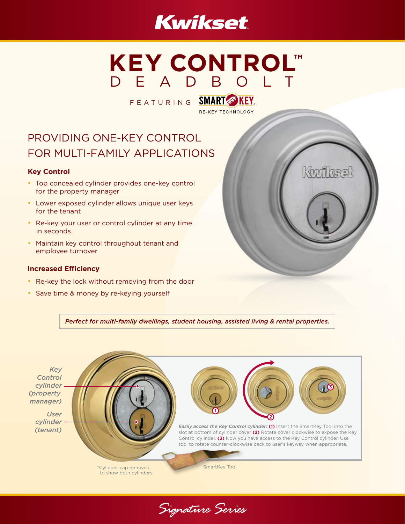# **Kwikset**

# **KEY CONTROL™** DEADBOLT

FEATURING SMART KEY. **RE-KEY TECHNOLOGY** 

# PROVIDING ONE-KEY CONTROL FOR MULTI-FAMILY APPLICATIONS

### **Key Control**

- Top concealed cylinder provides one-key control for the property manager
- Lower exposed cylinder allows unique user keys for the tenant
- Re-key your user or control cylinder at any time in seconds
- Maintain key control throughout tenant and employee turnover

#### **Increased Efficiency**

- Re-key the lock without removing from the door
- Save time & money by re-keying yourself



*Perfect for multi-family dwellings, student housing, assisted living & rental properties.* 



Signature Series